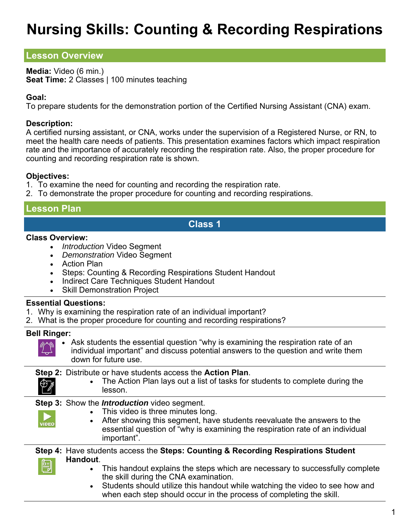# **Nursing Skills: Counting & Recording Respirations**

# **Lesson Overview**

**Media:** Video (6 min.) **Seat Time:** 2 Classes | 100 minutes teaching

### **Goal:**

To prepare students for the demonstration portion of the Certified Nursing Assistant (CNA) exam.

### **Description:**

A certified nursing assistant, or CNA, works under the supervision of a Registered Nurse, or RN, to meet the health care needs of patients. This presentation examines factors which impact respiration rate and the importance of accurately recording the respiration rate. Also, the proper procedure for counting and recording respiration rate is shown.

### **Objectives:**

- 1. To examine the need for counting and recording the respiration rate.
- 2. To demonstrate the proper procedure for counting and recording respirations.

# **Lesson Plan**

# **Class 1**

#### **Class Overview:**

- *Introduction* Video Segment
- *Demonstration* Video Segment
- Action Plan
- Steps: Counting & Recording Respirations Student Handout
- Indirect Care Techniques Student Handout
- Skill Demonstration Project

## **Essential Questions:**

- 1. Why is examining the respiration rate of an individual important?
- 2. What is the proper procedure for counting and recording respirations?

#### **Bell Ringer:**

 Ask students the essential question "why is examining the respiration rate of an individual important" and discuss potential answers to the question and write them down for future use.

#### **Step 2:** Distribute or have students access the **Action Plan**.

 The Action Plan lays out a list of tasks for students to complete during the lesson.

## **Step 3:** Show the *Introduction* video segment.

- This video is three minutes long.
- After showing this segment, have students reevaluate the answers to the essential question of "why is examining the respiration rate of an individual important".

#### **Step 4:** Have students access the **Steps: Counting & Recording Respirations Student Handout**. 閆

- This handout explains the steps which are necessary to successfully complete the skill during the CNA examination.
- Students should utilize this handout while watching the video to see how and when each step should occur in the process of completing the skill.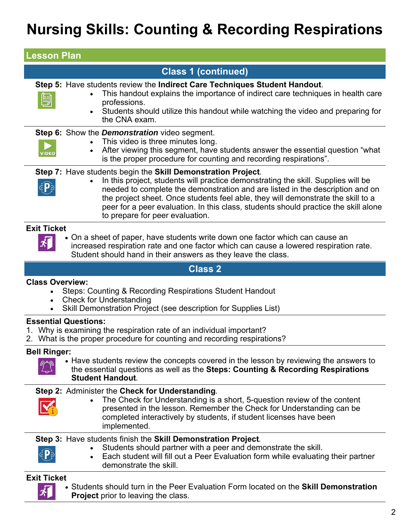# **Nursing Skills: Counting & Recording Respirations**

| <b>Lesson Plan</b>                                                                                                                                                                                                                                                                                                                                                                                                                                                         |
|----------------------------------------------------------------------------------------------------------------------------------------------------------------------------------------------------------------------------------------------------------------------------------------------------------------------------------------------------------------------------------------------------------------------------------------------------------------------------|
| <b>Class 1 (continued)</b>                                                                                                                                                                                                                                                                                                                                                                                                                                                 |
| Step 5: Have students review the Indirect Care Techniques Student Handout.<br>This handout explains the importance of indirect care techniques in health care<br>Ë<br>professions.<br>Students should utilize this handout while watching the video and preparing for<br>$\bullet$<br>the CNA exam.                                                                                                                                                                        |
| <b>Step 6:</b> Show the <b>Demonstration</b> video segment.<br>This video is three minutes long.<br>$\bullet$<br>After viewing this segment, have students answer the essential question "what<br><b>VIDEO</b><br>is the proper procedure for counting and recording respirations".                                                                                                                                                                                        |
| Step 7: Have students begin the Skill Demonstration Project.<br>In this project, students will practice demonstrating the skill. Supplies will be<br>$\bullet$<br><b>EP</b><br>needed to complete the demonstration and are listed in the description and on<br>the project sheet. Once students feel able, they will demonstrate the skill to a<br>peer for a peer evaluation. In this class, students should practice the skill alone<br>to prepare for peer evaluation. |
| <b>Exit Ticket</b><br>• On a sheet of paper, have students write down one factor which can cause an<br>increased respiration rate and one factor which can cause a lowered respiration rate.<br>Student should hand in their answers as they leave the class.                                                                                                                                                                                                              |
| <b>Class 2</b>                                                                                                                                                                                                                                                                                                                                                                                                                                                             |
| <b>Class Overview:</b><br>Steps: Counting & Recording Respirations Student Handout<br><b>Check for Understanding</b><br>$\bullet$<br>Skill Demonstration Project (see description for Supplies List)<br>$\bullet$                                                                                                                                                                                                                                                          |
| <b>Essential Questions:</b><br>1. Why is examining the respiration rate of an individual important?                                                                                                                                                                                                                                                                                                                                                                        |

2. What is the proper procedure for counting and recording respirations?

#### **Bell Ringer:**



• Have students review the concepts covered in the lesson by reviewing the answers to the essential questions as well as the **Steps: Counting & Recording Respirations Student Handout***.*

## **Step 2:** Administer the **Check for Understanding***.*

- 
- The Check for Understanding is a short, 5-question review of the content presented in the lesson. Remember the Check for Understanding can be completed interactively by students, if student licenses have been implemented.

## **Step 3:** Have students finish the **Skill Demonstration Project***.*

- 
- Students should partner with a peer and demonstrate the skill. Each student will fill out a Peer Evaluation form while evaluating their partner

# demonstrate the skill.

## **Exit Ticket**

朾

 Students should turn in the Peer Evaluation Form located on the **Skill Demonstration Project** prior to leaving the class.